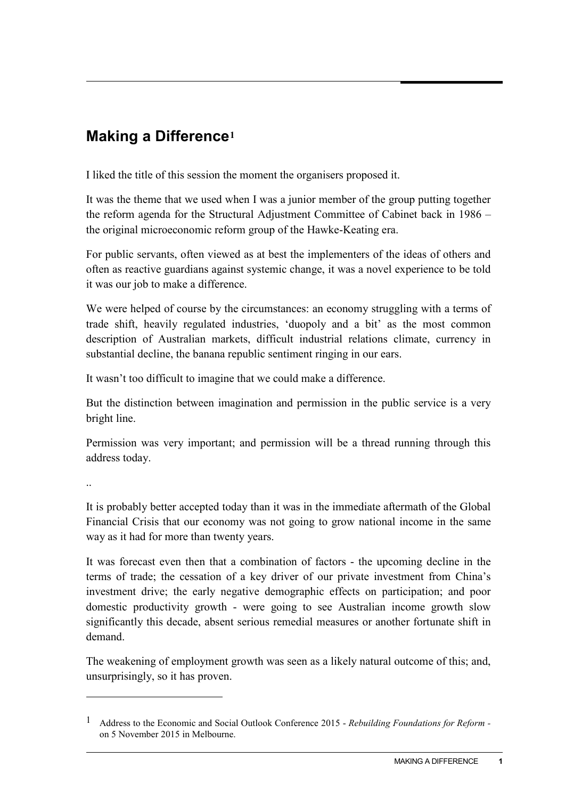## **Making a Difference[1](#page-0-0)**

I liked the title of this session the moment the organisers proposed it.

It was the theme that we used when I was a junior member of the group putting together the reform agenda for the Structural Adjustment Committee of Cabinet back in 1986 – the original microeconomic reform group of the Hawke-Keating era.

For public servants, often viewed as at best the implementers of the ideas of others and often as reactive guardians against systemic change, it was a novel experience to be told it was our job to make a difference.

We were helped of course by the circumstances: an economy struggling with a terms of trade shift, heavily regulated industries, 'duopoly and a bit' as the most common description of Australian markets, difficult industrial relations climate, currency in substantial decline, the banana republic sentiment ringing in our ears.

It wasn't too difficult to imagine that we could make a difference.

But the distinction between imagination and permission in the public service is a very bright line.

Permission was very important; and permission will be a thread running through this address today.

..

-

It is probably better accepted today than it was in the immediate aftermath of the Global Financial Crisis that our economy was not going to grow national income in the same way as it had for more than twenty years.

It was forecast even then that a combination of factors - the upcoming decline in the terms of trade; the cessation of a key driver of our private investment from China's investment drive; the early negative demographic effects on participation; and poor domestic productivity growth - were going to see Australian income growth slow significantly this decade, absent serious remedial measures or another fortunate shift in demand.

The weakening of employment growth was seen as a likely natural outcome of this; and, unsurprisingly, so it has proven.

<span id="page-0-0"></span><sup>1</sup> Address to the Economic and Social Outlook Conference 2015 - *Rebuilding Foundations for Reform*  on 5 November 2015 in Melbourne.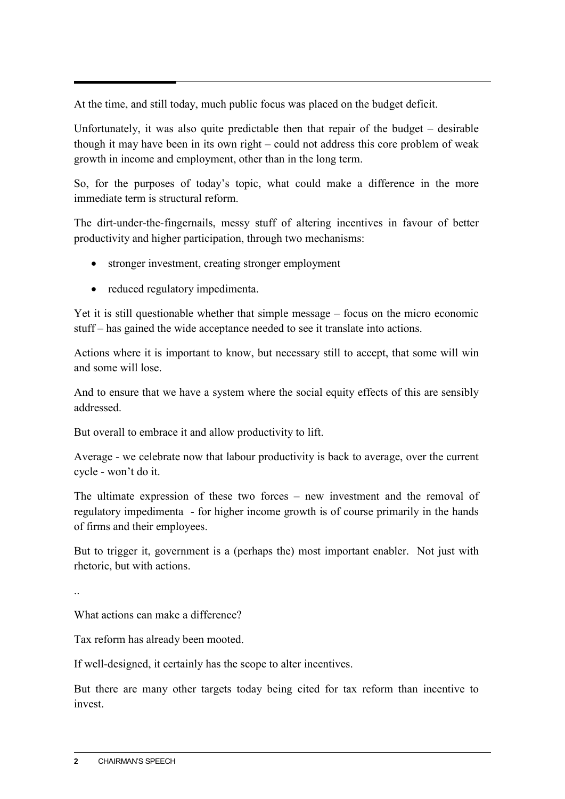At the time, and still today, much public focus was placed on the budget deficit.

Unfortunately, it was also quite predictable then that repair of the budget – desirable though it may have been in its own right – could not address this core problem of weak growth in income and employment, other than in the long term.

So, for the purposes of today's topic, what could make a difference in the more immediate term is structural reform.

The dirt-under-the-fingernails, messy stuff of altering incentives in favour of better productivity and higher participation, through two mechanisms:

- stronger investment, creating stronger employment
- reduced regulatory impedimenta.

Yet it is still questionable whether that simple message – focus on the micro economic stuff – has gained the wide acceptance needed to see it translate into actions.

Actions where it is important to know, but necessary still to accept, that some will win and some will lose.

And to ensure that we have a system where the social equity effects of this are sensibly addressed.

But overall to embrace it and allow productivity to lift.

Average - we celebrate now that labour productivity is back to average, over the current cycle - won't do it.

The ultimate expression of these two forces – new investment and the removal of regulatory impedimenta - for higher income growth is of course primarily in the hands of firms and their employees.

But to trigger it, government is a (perhaps the) most important enabler. Not just with rhetoric, but with actions.

..

What actions can make a difference?

Tax reform has already been mooted.

If well-designed, it certainly has the scope to alter incentives.

But there are many other targets today being cited for tax reform than incentive to invest.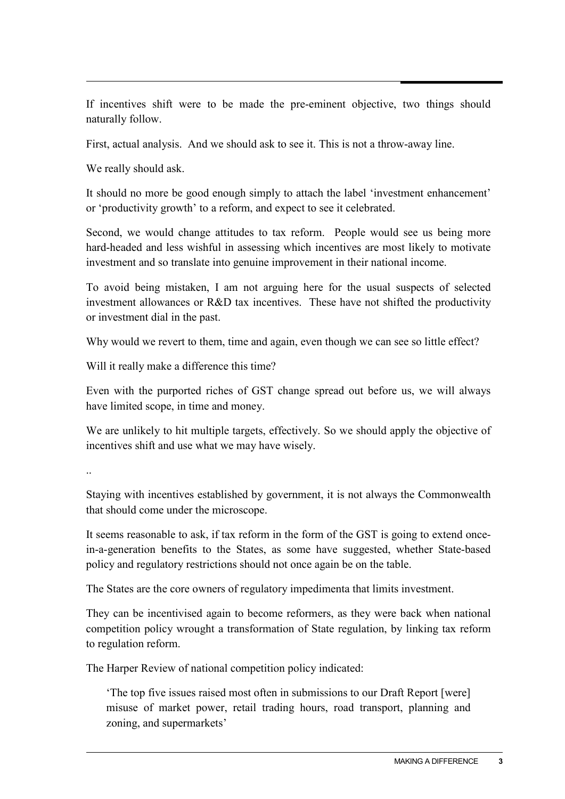If incentives shift were to be made the pre-eminent objective, two things should naturally follow.

First, actual analysis. And we should ask to see it. This is not a throw-away line.

We really should ask.

It should no more be good enough simply to attach the label 'investment enhancement' or 'productivity growth' to a reform, and expect to see it celebrated.

Second, we would change attitudes to tax reform. People would see us being more hard-headed and less wishful in assessing which incentives are most likely to motivate investment and so translate into genuine improvement in their national income.

To avoid being mistaken, I am not arguing here for the usual suspects of selected investment allowances or R&D tax incentives. These have not shifted the productivity or investment dial in the past.

Why would we revert to them, time and again, even though we can see so little effect?

Will it really make a difference this time?

Even with the purported riches of GST change spread out before us, we will always have limited scope, in time and money.

We are unlikely to hit multiple targets, effectively. So we should apply the objective of incentives shift and use what we may have wisely.

..

Staying with incentives established by government, it is not always the Commonwealth that should come under the microscope.

It seems reasonable to ask, if tax reform in the form of the GST is going to extend oncein-a-generation benefits to the States, as some have suggested, whether State-based policy and regulatory restrictions should not once again be on the table.

The States are the core owners of regulatory impedimenta that limits investment.

They can be incentivised again to become reformers, as they were back when national competition policy wrought a transformation of State regulation, by linking tax reform to regulation reform.

The Harper Review of national competition policy indicated:

'The top five issues raised most often in submissions to our Draft Report [were] misuse of market power, retail trading hours, road transport, planning and zoning, and supermarkets'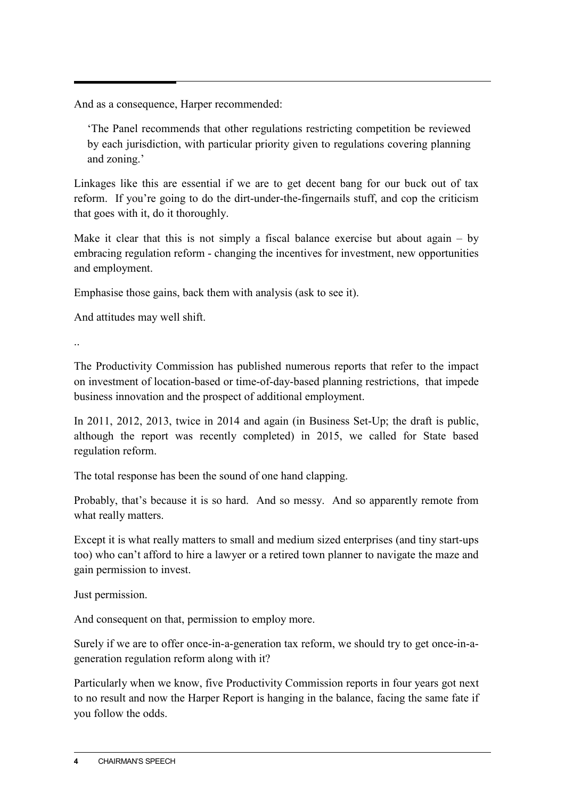And as a consequence, Harper recommended:

'The Panel recommends that other regulations restricting competition be reviewed by each jurisdiction, with particular priority given to regulations covering planning and zoning.'

Linkages like this are essential if we are to get decent bang for our buck out of tax reform. If you're going to do the dirt-under-the-fingernails stuff, and cop the criticism that goes with it, do it thoroughly.

Make it clear that this is not simply a fiscal balance exercise but about again  $-$  by embracing regulation reform - changing the incentives for investment, new opportunities and employment.

Emphasise those gains, back them with analysis (ask to see it).

And attitudes may well shift.

..

The Productivity Commission has published numerous reports that refer to the impact on investment of location-based or time-of-day-based planning restrictions, that impede business innovation and the prospect of additional employment.

In 2011, 2012, 2013, twice in 2014 and again (in Business Set-Up; the draft is public, although the report was recently completed) in 2015, we called for State based regulation reform.

The total response has been the sound of one hand clapping.

Probably, that's because it is so hard. And so messy. And so apparently remote from what really matters.

Except it is what really matters to small and medium sized enterprises (and tiny start-ups too) who can't afford to hire a lawyer or a retired town planner to navigate the maze and gain permission to invest.

Just permission.

And consequent on that, permission to employ more.

Surely if we are to offer once-in-a-generation tax reform, we should try to get once-in-ageneration regulation reform along with it?

Particularly when we know, five Productivity Commission reports in four years got next to no result and now the Harper Report is hanging in the balance, facing the same fate if you follow the odds.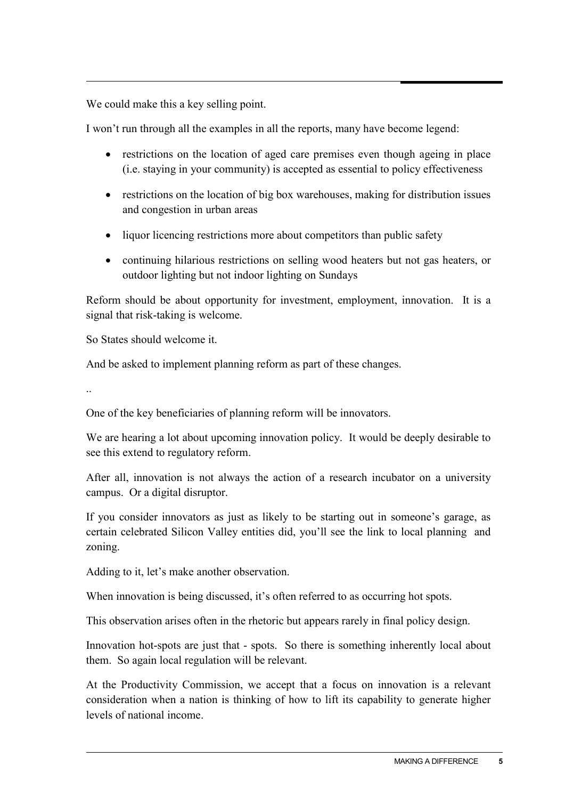We could make this a key selling point.

I won't run through all the examples in all the reports, many have become legend:

- restrictions on the location of aged care premises even though ageing in place (i.e. staying in your community) is accepted as essential to policy effectiveness
- restrictions on the location of big box warehouses, making for distribution issues and congestion in urban areas
- liquor licencing restrictions more about competitors than public safety
- continuing hilarious restrictions on selling wood heaters but not gas heaters, or outdoor lighting but not indoor lighting on Sundays

Reform should be about opportunity for investment, employment, innovation. It is a signal that risk-taking is welcome.

So States should welcome it.

And be asked to implement planning reform as part of these changes.

..

One of the key beneficiaries of planning reform will be innovators.

We are hearing a lot about upcoming innovation policy. It would be deeply desirable to see this extend to regulatory reform.

After all, innovation is not always the action of a research incubator on a university campus. Or a digital disruptor.

If you consider innovators as just as likely to be starting out in someone's garage, as certain celebrated Silicon Valley entities did, you'll see the link to local planning and zoning.

Adding to it, let's make another observation.

When innovation is being discussed, it's often referred to as occurring hot spots.

This observation arises often in the rhetoric but appears rarely in final policy design.

Innovation hot-spots are just that - spots. So there is something inherently local about them. So again local regulation will be relevant.

At the Productivity Commission, we accept that a focus on innovation is a relevant consideration when a nation is thinking of how to lift its capability to generate higher levels of national income.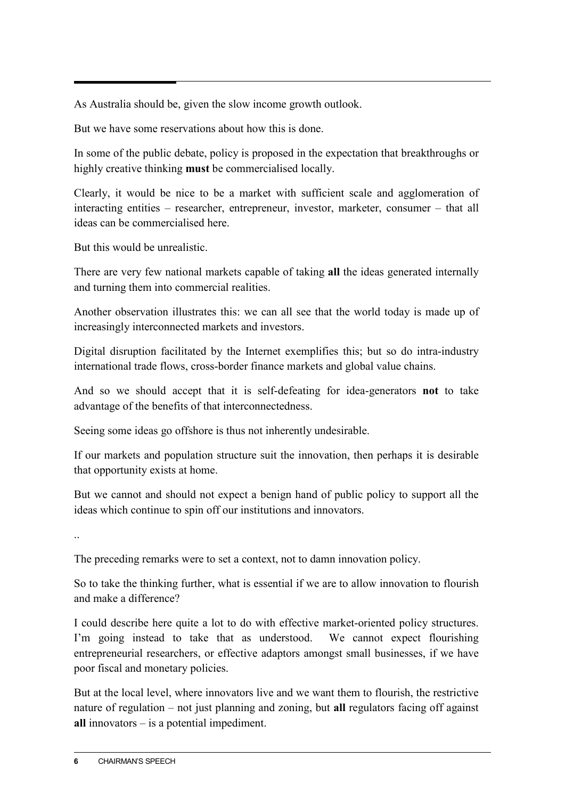As Australia should be, given the slow income growth outlook.

But we have some reservations about how this is done.

In some of the public debate, policy is proposed in the expectation that breakthroughs or highly creative thinking **must** be commercialised locally.

Clearly, it would be nice to be a market with sufficient scale and agglomeration of interacting entities – researcher, entrepreneur, investor, marketer, consumer – that all ideas can be commercialised here.

But this would be unrealistic.

There are very few national markets capable of taking **all** the ideas generated internally and turning them into commercial realities.

Another observation illustrates this: we can all see that the world today is made up of increasingly interconnected markets and investors.

Digital disruption facilitated by the Internet exemplifies this; but so do intra-industry international trade flows, cross-border finance markets and global value chains.

And so we should accept that it is self-defeating for idea-generators **not** to take advantage of the benefits of that interconnectedness.

Seeing some ideas go offshore is thus not inherently undesirable.

If our markets and population structure suit the innovation, then perhaps it is desirable that opportunity exists at home.

But we cannot and should not expect a benign hand of public policy to support all the ideas which continue to spin off our institutions and innovators.

..

The preceding remarks were to set a context, not to damn innovation policy.

So to take the thinking further, what is essential if we are to allow innovation to flourish and make a difference?

I could describe here quite a lot to do with effective market-oriented policy structures. I'm going instead to take that as understood. We cannot expect flourishing entrepreneurial researchers, or effective adaptors amongst small businesses, if we have poor fiscal and monetary policies.

But at the local level, where innovators live and we want them to flourish, the restrictive nature of regulation – not just planning and zoning, but **all** regulators facing off against **all** innovators – is a potential impediment.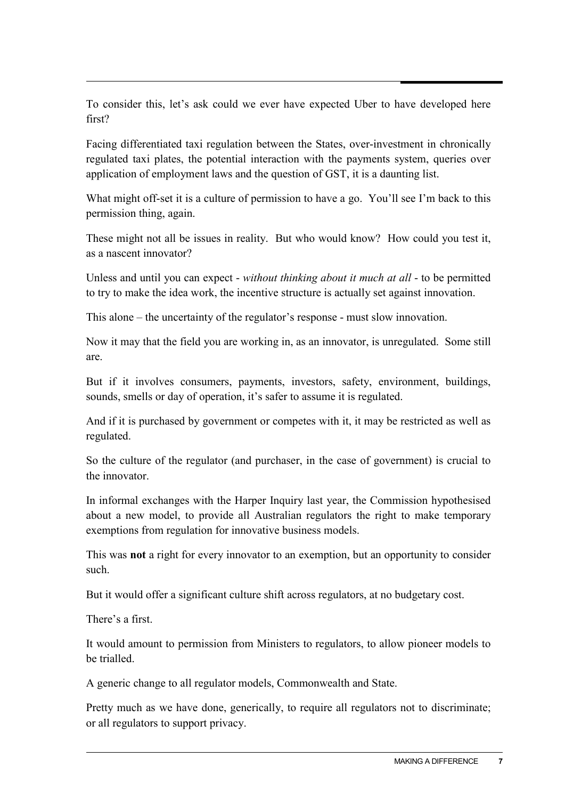To consider this, let's ask could we ever have expected Uber to have developed here first?

Facing differentiated taxi regulation between the States, over-investment in chronically regulated taxi plates, the potential interaction with the payments system, queries over application of employment laws and the question of GST, it is a daunting list.

What might off-set it is a culture of permission to have a go. You'll see I'm back to this permission thing, again.

These might not all be issues in reality. But who would know? How could you test it, as a nascent innovator?

Unless and until you can expect - *without thinking about it much at all* - to be permitted to try to make the idea work, the incentive structure is actually set against innovation.

This alone – the uncertainty of the regulator's response - must slow innovation.

Now it may that the field you are working in, as an innovator, is unregulated. Some still are.

But if it involves consumers, payments, investors, safety, environment, buildings, sounds, smells or day of operation, it's safer to assume it is regulated.

And if it is purchased by government or competes with it, it may be restricted as well as regulated.

So the culture of the regulator (and purchaser, in the case of government) is crucial to the innovator.

In informal exchanges with the Harper Inquiry last year, the Commission hypothesised about a new model, to provide all Australian regulators the right to make temporary exemptions from regulation for innovative business models.

This was **not** a right for every innovator to an exemption, but an opportunity to consider such.

But it would offer a significant culture shift across regulators, at no budgetary cost.

There's a first.

It would amount to permission from Ministers to regulators, to allow pioneer models to be trialled.

A generic change to all regulator models, Commonwealth and State.

Pretty much as we have done, generically, to require all regulators not to discriminate; or all regulators to support privacy.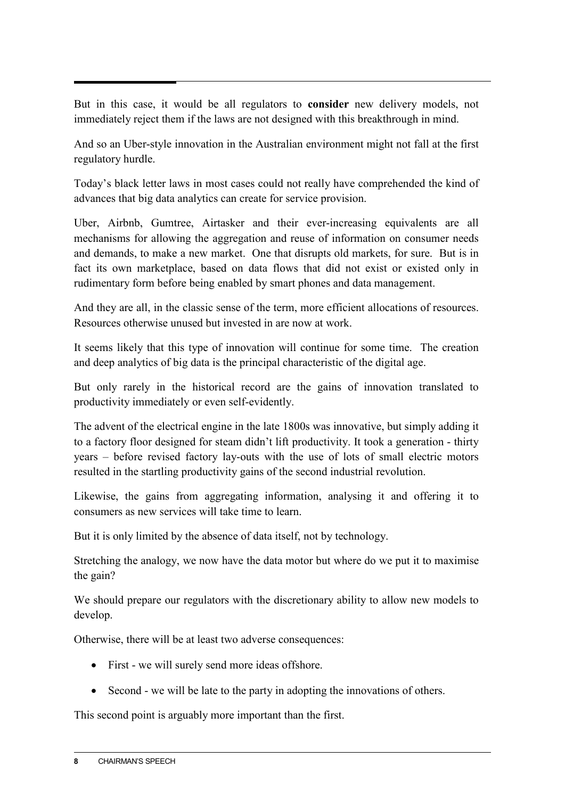But in this case, it would be all regulators to **consider** new delivery models, not immediately reject them if the laws are not designed with this breakthrough in mind.

And so an Uber-style innovation in the Australian environment might not fall at the first regulatory hurdle.

Today's black letter laws in most cases could not really have comprehended the kind of advances that big data analytics can create for service provision.

Uber, Airbnb, Gumtree, Airtasker and their ever-increasing equivalents are all mechanisms for allowing the aggregation and reuse of information on consumer needs and demands, to make a new market. One that disrupts old markets, for sure. But is in fact its own marketplace, based on data flows that did not exist or existed only in rudimentary form before being enabled by smart phones and data management.

And they are all, in the classic sense of the term, more efficient allocations of resources. Resources otherwise unused but invested in are now at work.

It seems likely that this type of innovation will continue for some time. The creation and deep analytics of big data is the principal characteristic of the digital age.

But only rarely in the historical record are the gains of innovation translated to productivity immediately or even self-evidently.

The advent of the electrical engine in the late 1800s was innovative, but simply adding it to a factory floor designed for steam didn't lift productivity. It took a generation - thirty years – before revised factory lay-outs with the use of lots of small electric motors resulted in the startling productivity gains of the second industrial revolution.

Likewise, the gains from aggregating information, analysing it and offering it to consumers as new services will take time to learn.

But it is only limited by the absence of data itself, not by technology.

Stretching the analogy, we now have the data motor but where do we put it to maximise the gain?

We should prepare our regulators with the discretionary ability to allow new models to develop.

Otherwise, there will be at least two adverse consequences:

- First we will surely send more ideas offshore.
- Second we will be late to the party in adopting the innovations of others.

This second point is arguably more important than the first.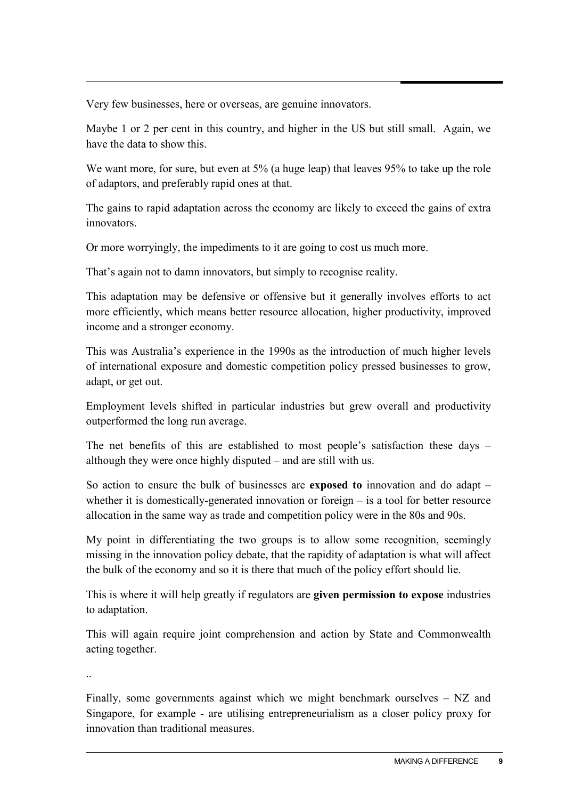Very few businesses, here or overseas, are genuine innovators.

Maybe 1 or 2 per cent in this country, and higher in the US but still small. Again, we have the data to show this.

We want more, for sure, but even at 5% (a huge leap) that leaves 95% to take up the role of adaptors, and preferably rapid ones at that.

The gains to rapid adaptation across the economy are likely to exceed the gains of extra innovators.

Or more worryingly, the impediments to it are going to cost us much more.

That's again not to damn innovators, but simply to recognise reality.

This adaptation may be defensive or offensive but it generally involves efforts to act more efficiently, which means better resource allocation, higher productivity, improved income and a stronger economy.

This was Australia's experience in the 1990s as the introduction of much higher levels of international exposure and domestic competition policy pressed businesses to grow, adapt, or get out.

Employment levels shifted in particular industries but grew overall and productivity outperformed the long run average.

The net benefits of this are established to most people's satisfaction these days – although they were once highly disputed – and are still with us.

So action to ensure the bulk of businesses are **exposed to** innovation and do adapt – whether it is domestically-generated innovation or foreign – is a tool for better resource allocation in the same way as trade and competition policy were in the 80s and 90s.

My point in differentiating the two groups is to allow some recognition, seemingly missing in the innovation policy debate, that the rapidity of adaptation is what will affect the bulk of the economy and so it is there that much of the policy effort should lie.

This is where it will help greatly if regulators are **given permission to expose** industries to adaptation.

This will again require joint comprehension and action by State and Commonwealth acting together.

..

Finally, some governments against which we might benchmark ourselves – NZ and Singapore, for example - are utilising entrepreneurialism as a closer policy proxy for innovation than traditional measures.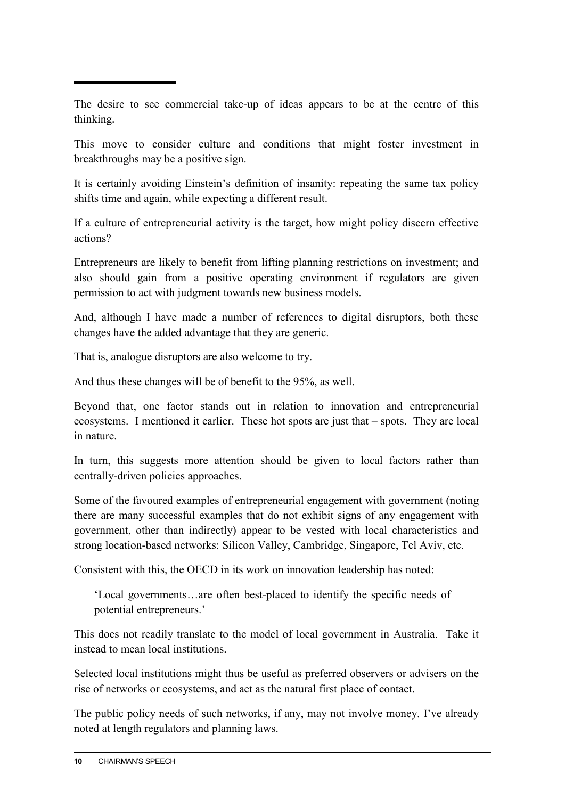The desire to see commercial take-up of ideas appears to be at the centre of this thinking.

This move to consider culture and conditions that might foster investment in breakthroughs may be a positive sign.

It is certainly avoiding Einstein's definition of insanity: repeating the same tax policy shifts time and again, while expecting a different result.

If a culture of entrepreneurial activity is the target, how might policy discern effective actions?

Entrepreneurs are likely to benefit from lifting planning restrictions on investment; and also should gain from a positive operating environment if regulators are given permission to act with judgment towards new business models.

And, although I have made a number of references to digital disruptors, both these changes have the added advantage that they are generic.

That is, analogue disruptors are also welcome to try.

And thus these changes will be of benefit to the 95%, as well.

Beyond that, one factor stands out in relation to innovation and entrepreneurial ecosystems. I mentioned it earlier. These hot spots are just that – spots. They are local in nature.

In turn, this suggests more attention should be given to local factors rather than centrally-driven policies approaches.

Some of the favoured examples of entrepreneurial engagement with government (noting there are many successful examples that do not exhibit signs of any engagement with government, other than indirectly) appear to be vested with local characteristics and strong location-based networks: Silicon Valley, Cambridge, Singapore, Tel Aviv, etc.

Consistent with this, the OECD in its work on innovation leadership has noted:

'Local governments…are often best-placed to identify the specific needs of potential entrepreneurs.'

This does not readily translate to the model of local government in Australia. Take it instead to mean local institutions.

Selected local institutions might thus be useful as preferred observers or advisers on the rise of networks or ecosystems, and act as the natural first place of contact.

The public policy needs of such networks, if any, may not involve money. I've already noted at length regulators and planning laws.